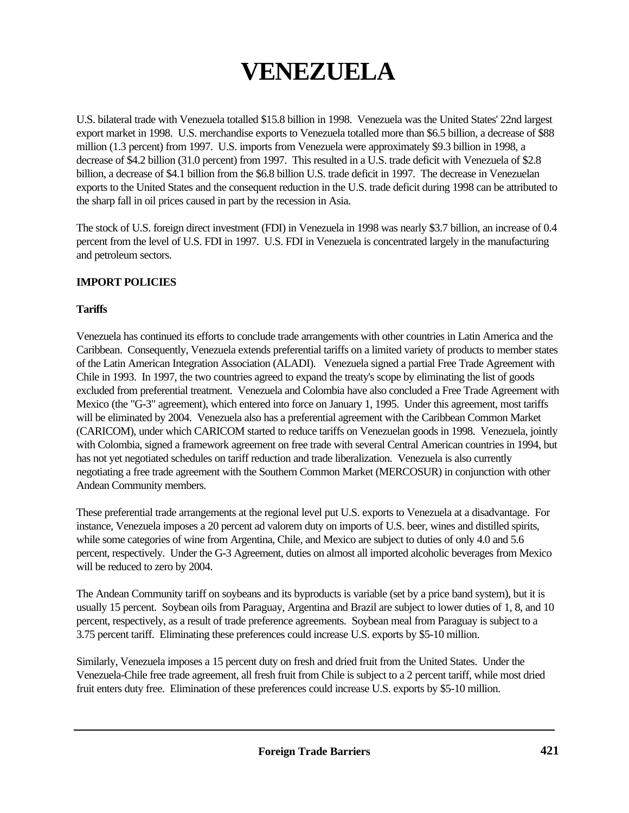# **VENEZUELA**

U.S. bilateral trade with Venezuela totalled \$15.8 billion in 1998. Venezuela was the United States' 22nd largest export market in 1998. U.S. merchandise exports to Venezuela totalled more than \$6.5 billion, a decrease of \$88 million (1.3 percent) from 1997. U.S. imports from Venezuela were approximately \$9.3 billion in 1998, a decrease of \$4.2 billion (31.0 percent) from 1997. This resulted in a U.S. trade deficit with Venezuela of \$2.8 billion, a decrease of \$4.1 billion from the \$6.8 billion U.S. trade deficit in 1997. The decrease in Venezuelan exports to the United States and the consequent reduction in the U.S. trade deficit during 1998 can be attributed to the sharp fall in oil prices caused in part by the recession in Asia.

The stock of U.S. foreign direct investment (FDI) in Venezuela in 1998 was nearly \$3.7 billion, an increase of 0.4 percent from the level of U.S. FDI in 1997. U.S. FDI in Venezuela is concentrated largely in the manufacturing and petroleum sectors.

# **IMPORT POLICIES**

#### **Tariffs**

Venezuela has continued its efforts to conclude trade arrangements with other countries in Latin America and the Caribbean. Consequently, Venezuela extends preferential tariffs on a limited variety of products to member states of the Latin American Integration Association (ALADI). Venezuela signed a partial Free Trade Agreement with Chile in 1993. In 1997, the two countries agreed to expand the treaty's scope by eliminating the list of goods excluded from preferential treatment. Venezuela and Colombia have also concluded a Free Trade Agreement with Mexico (the "G-3" agreement), which entered into force on January 1, 1995. Under this agreement, most tariffs will be eliminated by 2004. Venezuela also has a preferential agreement with the Caribbean Common Market (CARICOM), under which CARICOM started to reduce tariffs on Venezuelan goods in 1998. Venezuela, jointly with Colombia, signed a framework agreement on free trade with several Central American countries in 1994, but has not yet negotiated schedules on tariff reduction and trade liberalization. Venezuela is also currently negotiating a free trade agreement with the Southern Common Market (MERCOSUR) in conjunction with other Andean Community members.

These preferential trade arrangements at the regional level put U.S. exports to Venezuela at a disadvantage. For instance, Venezuela imposes a 20 percent ad valorem duty on imports of U.S. beer, wines and distilled spirits, while some categories of wine from Argentina, Chile, and Mexico are subject to duties of only 4.0 and 5.6 percent, respectively. Under the G-3 Agreement, duties on almost all imported alcoholic beverages from Mexico will be reduced to zero by 2004.

The Andean Community tariff on soybeans and its byproducts is variable (set by a price band system), but it is usually 15 percent. Soybean oils from Paraguay, Argentina and Brazil are subject to lower duties of 1, 8, and 10 percent, respectively, as a result of trade preference agreements. Soybean meal from Paraguay is subject to a 3.75 percent tariff. Eliminating these preferences could increase U.S. exports by \$5-10 million.

Similarly, Venezuela imposes a 15 percent duty on fresh and dried fruit from the United States. Under the Venezuela-Chile free trade agreement, all fresh fruit from Chile is subject to a 2 percent tariff, while most dried fruit enters duty free. Elimination of these preferences could increase U.S. exports by \$5-10 million.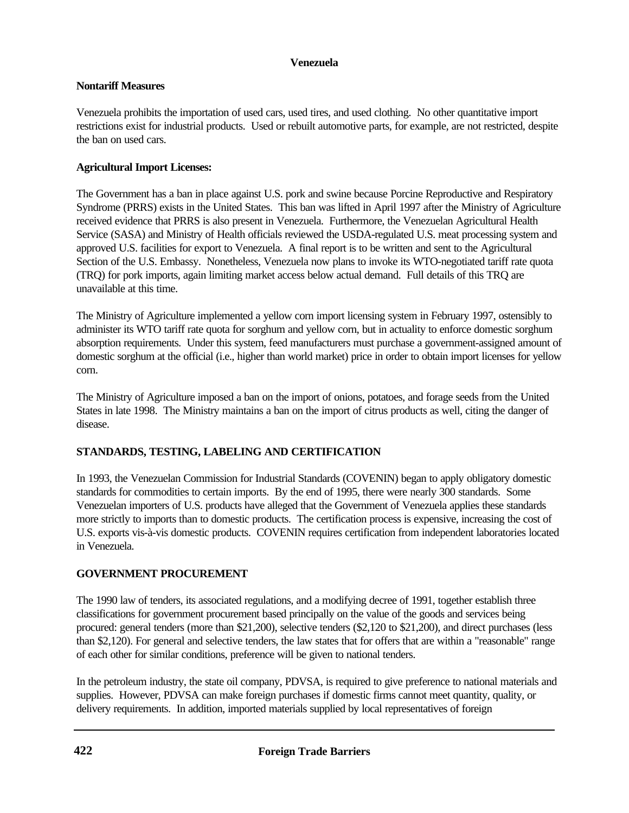## **Nontariff Measures**

Venezuela prohibits the importation of used cars, used tires, and used clothing. No other quantitative import restrictions exist for industrial products. Used or rebuilt automotive parts, for example, are not restricted, despite the ban on used cars.

# **Agricultural Import Licenses:**

The Government has a ban in place against U.S. pork and swine because Porcine Reproductive and Respiratory Syndrome (PRRS) exists in the United States. This ban was lifted in April 1997 after the Ministry of Agriculture received evidence that PRRS is also present in Venezuela. Furthermore, the Venezuelan Agricultural Health Service (SASA) and Ministry of Health officials reviewed the USDA-regulated U.S. meat processing system and approved U.S. facilities for export to Venezuela. A final report is to be written and sent to the Agricultural Section of the U.S. Embassy. Nonetheless, Venezuela now plans to invoke its WTO-negotiated tariff rate quota (TRQ) for pork imports, again limiting market access below actual demand. Full details of this TRQ are unavailable at this time.

The Ministry of Agriculture implemented a yellow corn import licensing system in February 1997, ostensibly to administer its WTO tariff rate quota for sorghum and yellow corn, but in actuality to enforce domestic sorghum absorption requirements. Under this system, feed manufacturers must purchase a government-assigned amount of domestic sorghum at the official (i.e., higher than world market) price in order to obtain import licenses for yellow corn.

The Ministry of Agriculture imposed a ban on the import of onions, potatoes, and forage seeds from the United States in late 1998. The Ministry maintains a ban on the import of citrus products as well, citing the danger of disease.

# **STANDARDS, TESTING, LABELING AND CERTIFICATION**

In 1993, the Venezuelan Commission for Industrial Standards (COVENIN) began to apply obligatory domestic standards for commodities to certain imports. By the end of 1995, there were nearly 300 standards. Some Venezuelan importers of U.S. products have alleged that the Government of Venezuela applies these standards more strictly to imports than to domestic products. The certification process is expensive, increasing the cost of U.S. exports vis-à-vis domestic products. COVENIN requires certification from independent laboratories located in Venezuela.

# **GOVERNMENT PROCUREMENT**

The 1990 law of tenders, its associated regulations, and a modifying decree of 1991, together establish three classifications for government procurement based principally on the value of the goods and services being procured: general tenders (more than \$21,200), selective tenders (\$2,120 to \$21,200), and direct purchases (less than \$2,120). For general and selective tenders, the law states that for offers that are within a "reasonable" range of each other for similar conditions, preference will be given to national tenders.

In the petroleum industry, the state oil company, PDVSA, is required to give preference to national materials and supplies. However, PDVSA can make foreign purchases if domestic firms cannot meet quantity, quality, or delivery requirements. In addition, imported materials supplied by local representatives of foreign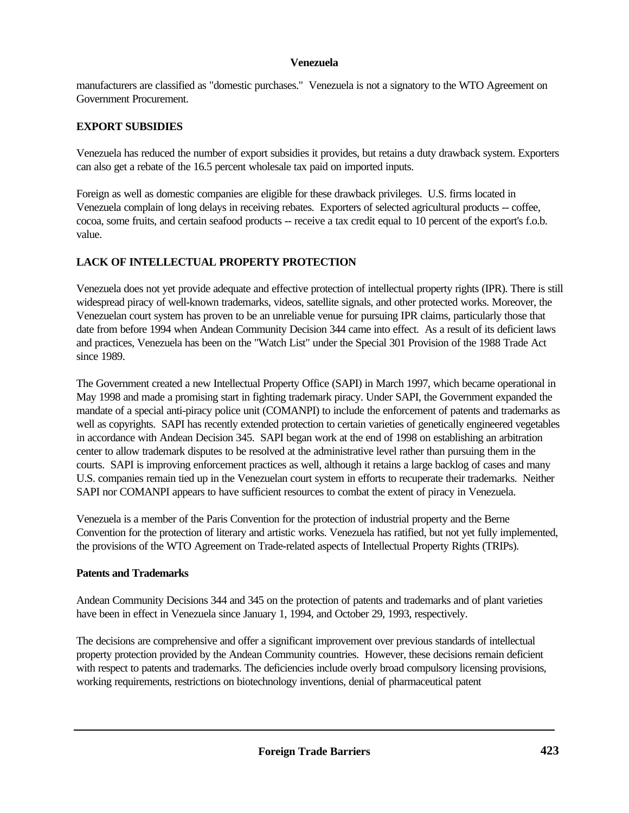manufacturers are classified as "domestic purchases." Venezuela is not a signatory to the WTO Agreement on Government Procurement.

## **EXPORT SUBSIDIES**

Venezuela has reduced the number of export subsidies it provides, but retains a duty drawback system. Exporters can also get a rebate of the 16.5 percent wholesale tax paid on imported inputs.

Foreign as well as domestic companies are eligible for these drawback privileges. U.S. firms located in Venezuela complain of long delays in receiving rebates. Exporters of selected agricultural products -- coffee, cocoa, some fruits, and certain seafood products -- receive a tax credit equal to 10 percent of the export's f.o.b. value.

# **LACK OF INTELLECTUAL PROPERTY PROTECTION**

Venezuela does not yet provide adequate and effective protection of intellectual property rights (IPR). There is still widespread piracy of well-known trademarks, videos, satellite signals, and other protected works. Moreover, the Venezuelan court system has proven to be an unreliable venue for pursuing IPR claims, particularly those that date from before 1994 when Andean Community Decision 344 came into effect. As a result of its deficient laws and practices, Venezuela has been on the "Watch List" under the Special 301 Provision of the 1988 Trade Act since 1989.

The Government created a new Intellectual Property Office (SAPI) in March 1997, which became operational in May 1998 and made a promising start in fighting trademark piracy. Under SAPI, the Government expanded the mandate of a special anti-piracy police unit (COMANPI) to include the enforcement of patents and trademarks as well as copyrights. SAPI has recently extended protection to certain varieties of genetically engineered vegetables in accordance with Andean Decision 345. SAPI began work at the end of 1998 on establishing an arbitration center to allow trademark disputes to be resolved at the administrative level rather than pursuing them in the courts. SAPI is improving enforcement practices as well, although it retains a large backlog of cases and many U.S. companies remain tied up in the Venezuelan court system in efforts to recuperate their trademarks. Neither SAPI nor COMANPI appears to have sufficient resources to combat the extent of piracy in Venezuela.

Venezuela is a member of the Paris Convention for the protection of industrial property and the Berne Convention for the protection of literary and artistic works. Venezuela has ratified, but not yet fully implemented, the provisions of the WTO Agreement on Trade-related aspects of Intellectual Property Rights (TRIPs).

## **Patents and Trademarks**

Andean Community Decisions 344 and 345 on the protection of patents and trademarks and of plant varieties have been in effect in Venezuela since January 1, 1994, and October 29, 1993, respectively.

The decisions are comprehensive and offer a significant improvement over previous standards of intellectual property protection provided by the Andean Community countries. However, these decisions remain deficient with respect to patents and trademarks. The deficiencies include overly broad compulsory licensing provisions, working requirements, restrictions on biotechnology inventions, denial of pharmaceutical patent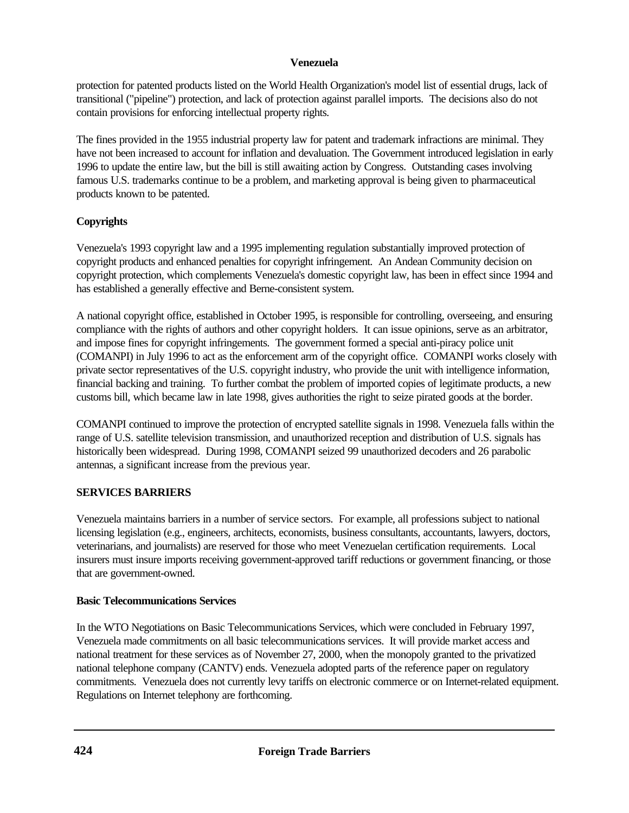protection for patented products listed on the World Health Organization's model list of essential drugs, lack of transitional ("pipeline") protection, and lack of protection against parallel imports. The decisions also do not contain provisions for enforcing intellectual property rights.

The fines provided in the 1955 industrial property law for patent and trademark infractions are minimal. They have not been increased to account for inflation and devaluation. The Government introduced legislation in early 1996 to update the entire law, but the bill is still awaiting action by Congress. Outstanding cases involving famous U.S. trademarks continue to be a problem, and marketing approval is being given to pharmaceutical products known to be patented.

# **Copyrights**

Venezuela's 1993 copyright law and a 1995 implementing regulation substantially improved protection of copyright products and enhanced penalties for copyright infringement. An Andean Community decision on copyright protection, which complements Venezuela's domestic copyright law, has been in effect since 1994 and has established a generally effective and Berne-consistent system.

A national copyright office, established in October 1995, is responsible for controlling, overseeing, and ensuring compliance with the rights of authors and other copyright holders. It can issue opinions, serve as an arbitrator, and impose fines for copyright infringements. The government formed a special anti-piracy police unit (COMANPI) in July 1996 to act as the enforcement arm of the copyright office. COMANPI works closely with private sector representatives of the U.S. copyright industry, who provide the unit with intelligence information, financial backing and training. To further combat the problem of imported copies of legitimate products, a new customs bill, which became law in late 1998, gives authorities the right to seize pirated goods at the border.

COMANPI continued to improve the protection of encrypted satellite signals in 1998. Venezuela falls within the range of U.S. satellite television transmission, and unauthorized reception and distribution of U.S. signals has historically been widespread. During 1998, COMANPI seized 99 unauthorized decoders and 26 parabolic antennas, a significant increase from the previous year.

## **SERVICES BARRIERS**

Venezuela maintains barriers in a number of service sectors. For example, all professions subject to national licensing legislation (e.g., engineers, architects, economists, business consultants, accountants, lawyers, doctors, veterinarians, and journalists) are reserved for those who meet Venezuelan certification requirements. Local insurers must insure imports receiving government-approved tariff reductions or government financing, or those that are government-owned.

## **Basic Telecommunications Services**

In the WTO Negotiations on Basic Telecommunications Services, which were concluded in February 1997, Venezuela made commitments on all basic telecommunications services. It will provide market access and national treatment for these services as of November 27, 2000, when the monopoly granted to the privatized national telephone company (CANTV) ends. Venezuela adopted parts of the reference paper on regulatory commitments. Venezuela does not currently levy tariffs on electronic commerce or on Internet-related equipment. Regulations on Internet telephony are forthcoming.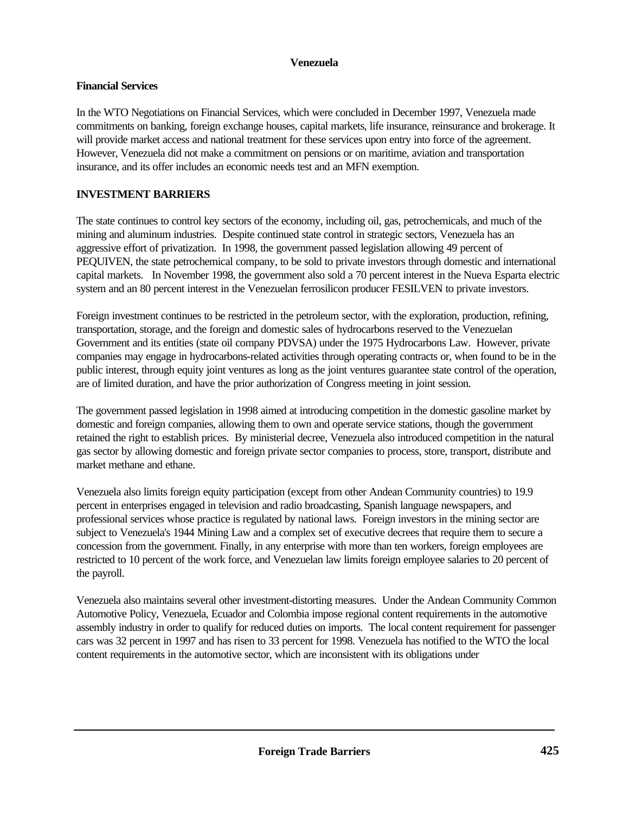## **Financial Services**

In the WTO Negotiations on Financial Services, which were concluded in December 1997, Venezuela made commitments on banking, foreign exchange houses, capital markets, life insurance, reinsurance and brokerage. It will provide market access and national treatment for these services upon entry into force of the agreement. However, Venezuela did not make a commitment on pensions or on maritime, aviation and transportation insurance, and its offer includes an economic needs test and an MFN exemption.

## **INVESTMENT BARRIERS**

The state continues to control key sectors of the economy, including oil, gas, petrochemicals, and much of the mining and aluminum industries. Despite continued state control in strategic sectors, Venezuela has an aggressive effort of privatization. In 1998, the government passed legislation allowing 49 percent of PEQUIVEN, the state petrochemical company, to be sold to private investors through domestic and international capital markets. In November 1998, the government also sold a 70 percent interest in the Nueva Esparta electric system and an 80 percent interest in the Venezuelan ferrosilicon producer FESILVEN to private investors.

Foreign investment continues to be restricted in the petroleum sector, with the exploration, production, refining, transportation, storage, and the foreign and domestic sales of hydrocarbons reserved to the Venezuelan Government and its entities (state oil company PDVSA) under the 1975 Hydrocarbons Law. However, private companies may engage in hydrocarbons-related activities through operating contracts or, when found to be in the public interest, through equity joint ventures as long as the joint ventures guarantee state control of the operation, are of limited duration, and have the prior authorization of Congress meeting in joint session.

The government passed legislation in 1998 aimed at introducing competition in the domestic gasoline market by domestic and foreign companies, allowing them to own and operate service stations, though the government retained the right to establish prices. By ministerial decree, Venezuela also introduced competition in the natural gas sector by allowing domestic and foreign private sector companies to process, store, transport, distribute and market methane and ethane.

Venezuela also limits foreign equity participation (except from other Andean Community countries) to 19.9 percent in enterprises engaged in television and radio broadcasting, Spanish language newspapers, and professional services whose practice is regulated by national laws. Foreign investors in the mining sector are subject to Venezuela's 1944 Mining Law and a complex set of executive decrees that require them to secure a concession from the government. Finally, in any enterprise with more than ten workers, foreign employees are restricted to 10 percent of the work force, and Venezuelan law limits foreign employee salaries to 20 percent of the payroll.

Venezuela also maintains several other investment-distorting measures. Under the Andean Community Common Automotive Policy, Venezuela, Ecuador and Colombia impose regional content requirements in the automotive assembly industry in order to qualify for reduced duties on imports. The local content requirement for passenger cars was 32 percent in 1997 and has risen to 33 percent for 1998. Venezuela has notified to the WTO the local content requirements in the automotive sector, which are inconsistent with its obligations under